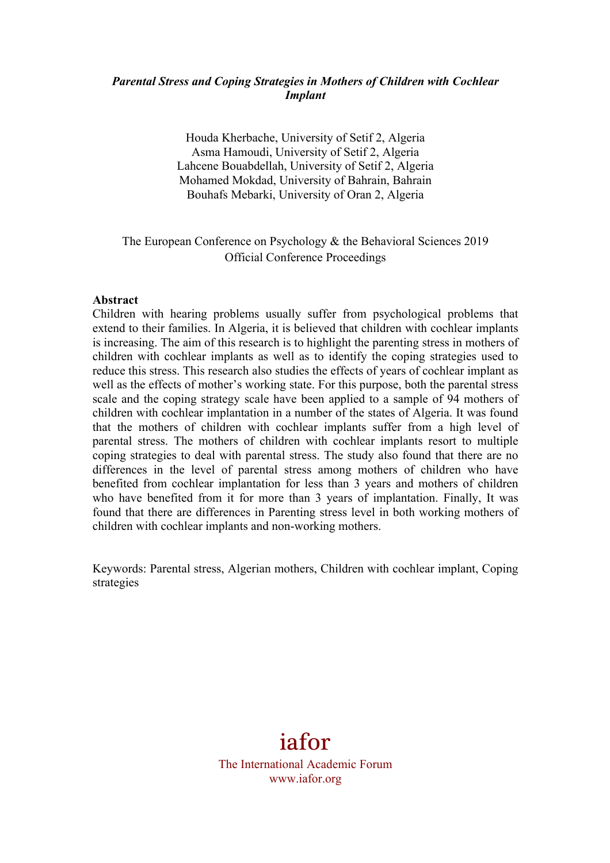#### *Parental Stress and Coping Strategies in Mothers of Children with Cochlear Implant*

Houda Kherbache, University of Setif 2, Algeria Asma Hamoudi, University of Setif 2, Algeria Lahcene Bouabdellah, University of Setif 2, Algeria Mohamed Mokdad, University of Bahrain, Bahrain Bouhafs Mebarki, University of Oran 2, Algeria

# The European Conference on Psychology & the Behavioral Sciences 2019 Official Conference Proceedings

#### **Abstract**

Children with hearing problems usually suffer from psychological problems that extend to their families. In Algeria, it is believed that children with cochlear implants is increasing. The aim of this research is to highlight the parenting stress in mothers of children with cochlear implants as well as to identify the coping strategies used to reduce this stress. This research also studies the effects of years of cochlear implant as well as the effects of mother's working state. For this purpose, both the parental stress scale and the coping strategy scale have been applied to a sample of 94 mothers of children with cochlear implantation in a number of the states of Algeria. It was found that the mothers of children with cochlear implants suffer from a high level of parental stress. The mothers of children with cochlear implants resort to multiple coping strategies to deal with parental stress. The study also found that there are no differences in the level of parental stress among mothers of children who have benefited from cochlear implantation for less than 3 years and mothers of children who have benefited from it for more than 3 years of implantation. Finally, It was found that there are differences in Parenting stress level in both working mothers of children with cochlear implants and non-working mothers.

Keywords: Parental stress, Algerian mothers, Children with cochlear implant, Coping strategies

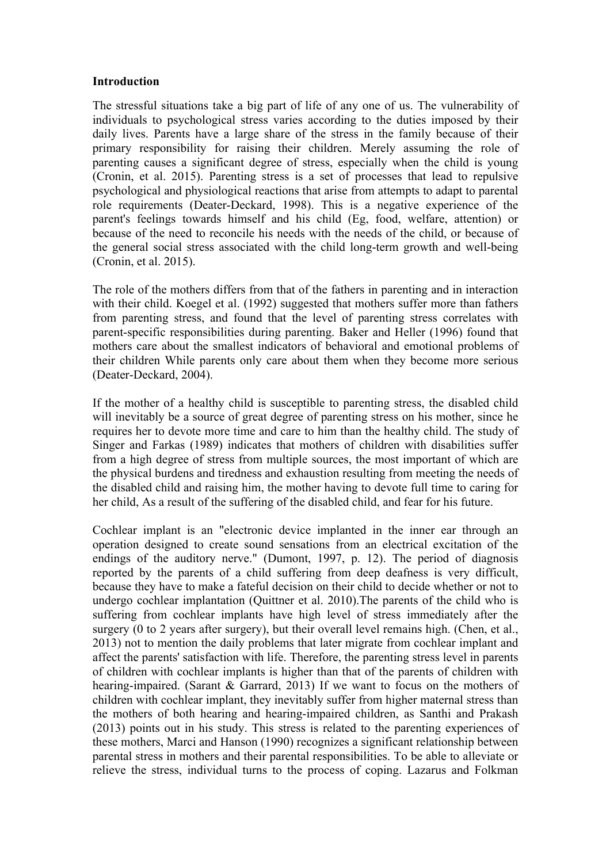#### **Introduction**

The stressful situations take a big part of life of any one of us. The vulnerability of individuals to psychological stress varies according to the duties imposed by their daily lives. Parents have a large share of the stress in the family because of their primary responsibility for raising their children. Merely assuming the role of parenting causes a significant degree of stress, especially when the child is young (Cronin, et al. 2015). Parenting stress is a set of processes that lead to repulsive psychological and physiological reactions that arise from attempts to adapt to parental role requirements (Deater-Deckard, 1998). This is a negative experience of the parent's feelings towards himself and his child (Eg, food, welfare, attention) or because of the need to reconcile his needs with the needs of the child, or because of the general social stress associated with the child long-term growth and well-being (Cronin, et al. 2015).

The role of the mothers differs from that of the fathers in parenting and in interaction with their child. Koegel et al. (1992) suggested that mothers suffer more than fathers from parenting stress, and found that the level of parenting stress correlates with parent-specific responsibilities during parenting. Baker and Heller (1996) found that mothers care about the smallest indicators of behavioral and emotional problems of their children While parents only care about them when they become more serious (Deater-Deckard, 2004).

If the mother of a healthy child is susceptible to parenting stress, the disabled child will inevitably be a source of great degree of parenting stress on his mother, since he requires her to devote more time and care to him than the healthy child. The study of Singer and Farkas (1989) indicates that mothers of children with disabilities suffer from a high degree of stress from multiple sources, the most important of which are the physical burdens and tiredness and exhaustion resulting from meeting the needs of the disabled child and raising him, the mother having to devote full time to caring for her child, As a result of the suffering of the disabled child, and fear for his future.

Cochlear implant is an "electronic device implanted in the inner ear through an operation designed to create sound sensations from an electrical excitation of the endings of the auditory nerve." (Dumont, 1997, p. 12). The period of diagnosis reported by the parents of a child suffering from deep deafness is very difficult, because they have to make a fateful decision on their child to decide whether or not to undergo cochlear implantation (Quittner et al. 2010).The parents of the child who is suffering from cochlear implants have high level of stress immediately after the surgery (0 to 2 years after surgery), but their overall level remains high. (Chen, et al., 2013) not to mention the daily problems that later migrate from cochlear implant and affect the parents' satisfaction with life. Therefore, the parenting stress level in parents of children with cochlear implants is higher than that of the parents of children with hearing-impaired. (Sarant & Garrard, 2013) If we want to focus on the mothers of children with cochlear implant, they inevitably suffer from higher maternal stress than the mothers of both hearing and hearing-impaired children, as Santhi and Prakash (2013) points out in his study. This stress is related to the parenting experiences of these mothers, Marci and Hanson (1990) recognizes a significant relationship between parental stress in mothers and their parental responsibilities. To be able to alleviate or relieve the stress, individual turns to the process of coping. Lazarus and Folkman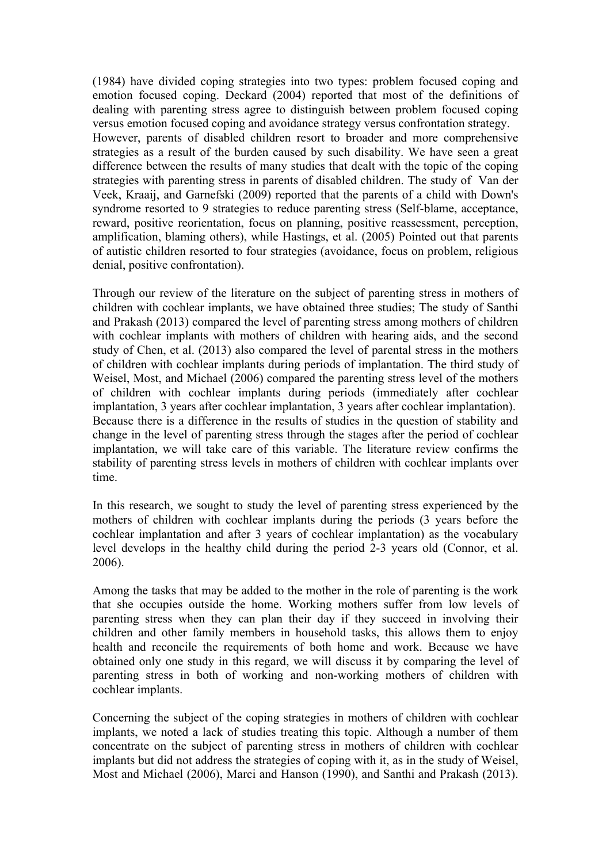(1984) have divided coping strategies into two types: problem focused coping and emotion focused coping. Deckard (2004) reported that most of the definitions of dealing with parenting stress agree to distinguish between problem focused coping versus emotion focused coping and avoidance strategy versus confrontation strategy. However, parents of disabled children resort to broader and more comprehensive strategies as a result of the burden caused by such disability. We have seen a great difference between the results of many studies that dealt with the topic of the coping strategies with parenting stress in parents of disabled children. The study of Van der Veek, Kraaij, and Garnefski (2009) reported that the parents of a child with Down's syndrome resorted to 9 strategies to reduce parenting stress (Self-blame, acceptance, reward, positive reorientation, focus on planning, positive reassessment, perception, amplification, blaming others), while Hastings, et al. (2005) Pointed out that parents of autistic children resorted to four strategies (avoidance, focus on problem, religious denial, positive confrontation).

Through our review of the literature on the subject of parenting stress in mothers of children with cochlear implants, we have obtained three studies; The study of Santhi and Prakash (2013) compared the level of parenting stress among mothers of children with cochlear implants with mothers of children with hearing aids, and the second study of Chen, et al. (2013) also compared the level of parental stress in the mothers of children with cochlear implants during periods of implantation. The third study of Weisel, Most, and Michael (2006) compared the parenting stress level of the mothers of children with cochlear implants during periods (immediately after cochlear implantation, 3 years after cochlear implantation, 3 years after cochlear implantation). Because there is a difference in the results of studies in the question of stability and change in the level of parenting stress through the stages after the period of cochlear implantation, we will take care of this variable. The literature review confirms the stability of parenting stress levels in mothers of children with cochlear implants over time.

In this research, we sought to study the level of parenting stress experienced by the mothers of children with cochlear implants during the periods (3 years before the cochlear implantation and after 3 years of cochlear implantation) as the vocabulary level develops in the healthy child during the period 2-3 years old (Connor, et al. 2006).

Among the tasks that may be added to the mother in the role of parenting is the work that she occupies outside the home. Working mothers suffer from low levels of parenting stress when they can plan their day if they succeed in involving their children and other family members in household tasks, this allows them to enjoy health and reconcile the requirements of both home and work. Because we have obtained only one study in this regard, we will discuss it by comparing the level of parenting stress in both of working and non-working mothers of children with cochlear implants.

Concerning the subject of the coping strategies in mothers of children with cochlear implants, we noted a lack of studies treating this topic. Although a number of them concentrate on the subject of parenting stress in mothers of children with cochlear implants but did not address the strategies of coping with it, as in the study of Weisel, Most and Michael (2006), Marci and Hanson (1990), and Santhi and Prakash (2013).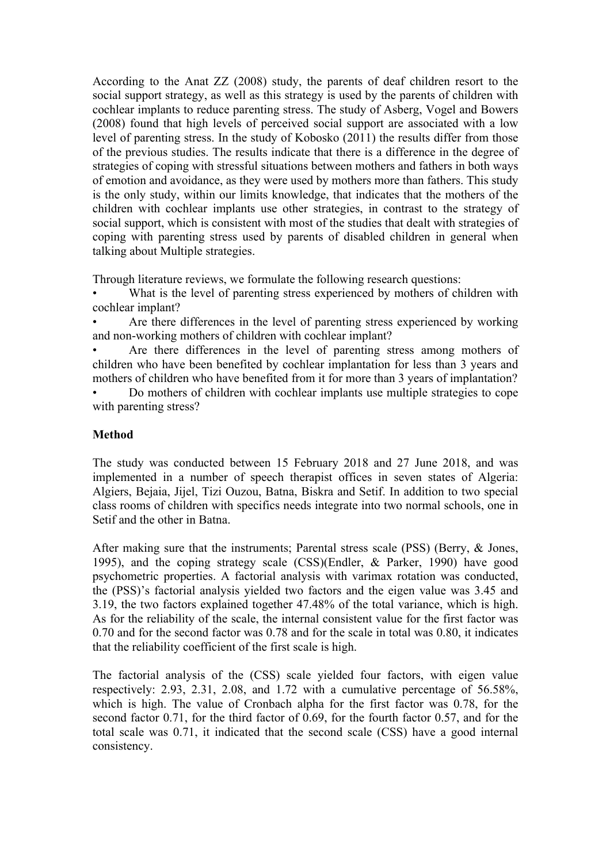According to the Anat ZZ (2008) study, the parents of deaf children resort to the social support strategy, as well as this strategy is used by the parents of children with cochlear implants to reduce parenting stress. The study of Asberg, Vogel and Bowers (2008) found that high levels of perceived social support are associated with a low level of parenting stress. In the study of Kobosko (2011) the results differ from those of the previous studies. The results indicate that there is a difference in the degree of strategies of coping with stressful situations between mothers and fathers in both ways of emotion and avoidance, as they were used by mothers more than fathers. This study is the only study, within our limits knowledge, that indicates that the mothers of the children with cochlear implants use other strategies, in contrast to the strategy of social support, which is consistent with most of the studies that dealt with strategies of coping with parenting stress used by parents of disabled children in general when talking about Multiple strategies.

Through literature reviews, we formulate the following research questions:

What is the level of parenting stress experienced by mothers of children with cochlear implant?

• Are there differences in the level of parenting stress experienced by working and non-working mothers of children with cochlear implant?

Are there differences in the level of parenting stress among mothers of children who have been benefited by cochlear implantation for less than 3 years and mothers of children who have benefited from it for more than 3 years of implantation?

• Do mothers of children with cochlear implants use multiple strategies to cope with parenting stress?

## **Method**

The study was conducted between 15 February 2018 and 27 June 2018, and was implemented in a number of speech therapist offices in seven states of Algeria: Algiers, Bejaia, Jijel, Tizi Ouzou, Batna, Biskra and Setif. In addition to two special class rooms of children with specifics needs integrate into two normal schools, one in Setif and the other in Batna.

After making sure that the instruments; Parental stress scale (PSS) (Berry, & Jones, 1995), and the coping strategy scale (CSS)(Endler, & Parker, 1990) have good psychometric properties. A factorial analysis with varimax rotation was conducted, the (PSS)'s factorial analysis yielded two factors and the eigen value was 3.45 and 3.19, the two factors explained together 47.48% of the total variance, which is high. As for the reliability of the scale, the internal consistent value for the first factor was 0.70 and for the second factor was 0.78 and for the scale in total was 0.80, it indicates that the reliability coefficient of the first scale is high.

The factorial analysis of the (CSS) scale yielded four factors, with eigen value respectively: 2.93, 2.31, 2.08, and 1.72 with a cumulative percentage of 56.58%, which is high. The value of Cronbach alpha for the first factor was 0.78, for the second factor 0.71, for the third factor of 0.69, for the fourth factor 0.57, and for the total scale was 0.71, it indicated that the second scale (CSS) have a good internal consistency.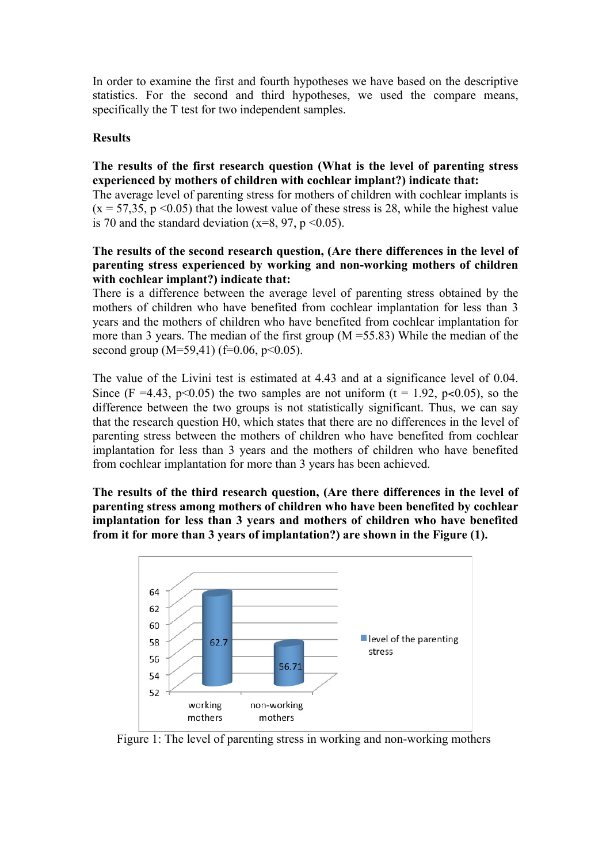In order to examine the first and fourth hypotheses we have based on the descriptive statistics. For the second and third hypotheses, we used the compare means, specifically the T test for two independent samples.

#### **Results**

#### **The results of the first research question (What is the level of parenting stress experienced by mothers of children with cochlear implant?) indicate that:**

The average level of parenting stress for mothers of children with cochlear implants is  $(x = 57,35, p < 0.05)$  that the lowest value of these stress is 28, while the highest value is 70 and the standard deviation ( $x=8$ , 97,  $p < 0.05$ ).

#### **The results of the second research question, (Are there differences in the level of parenting stress experienced by working and non-working mothers of children with cochlear implant?) indicate that:**

There is a difference between the average level of parenting stress obtained by the mothers of children who have benefited from cochlear implantation for less than 3 years and the mothers of children who have benefited from cochlear implantation for more than 3 years. The median of the first group  $(M = 55.83)$  While the median of the second group  $(M=59,41)$  (f=0.06, p<0.05).

The value of the Livini test is estimated at 4.43 and at a significance level of 0.04. Since (F =4.43, p<0.05) the two samples are not uniform (t = 1.92, p<0.05), so the difference between the two groups is not statistically significant. Thus, we can say that the research question H0, which states that there are no differences in the level of parenting stress between the mothers of children who have benefited from cochlear implantation for less than 3 years and the mothers of children who have benefited from cochlear implantation for more than 3 years has been achieved.

**The results of the third research question, (Are there differences in the level of parenting stress among mothers of children who have been benefited by cochlear implantation for less than 3 years and mothers of children who have benefited from it for more than 3 years of implantation?) are shown in the Figure (1).**



Figure 1: The level of parenting stress in working and non-working mothers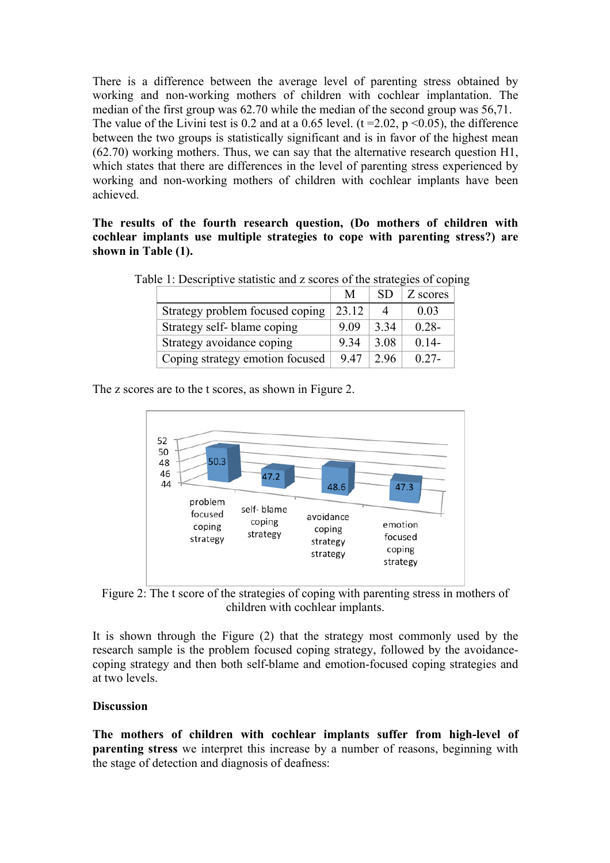There is a difference between the average level of parenting stress obtained by working and non-working mothers of children with cochlear implantation. The median of the first group was 62.70 while the median of the second group was 56,71. The value of the Livini test is 0.2 and at a 0.65 level.  $(t = 2.02, p \le 0.05)$ , the difference between the two groups is statistically significant and is in favor of the highest mean (62.70) working mothers. Thus, we can say that the alternative research question H1, which states that there are differences in the level of parenting stress experienced by working and non-working mothers of children with cochlear implants have been achieved.

**The results of the fourth research question, (Do mothers of children with cochlear implants use multiple strategies to cope with parenting stress?) are shown in Table (1).**

|                                 | M     | SD.  | Z scores |
|---------------------------------|-------|------|----------|
| Strategy problem focused coping | 23.12 |      | 0.03     |
| Strategy self-blame coping      | 9.09  | 3.34 | $0.28 -$ |
| Strategy avoidance coping       | 9 34  | 3.08 | $0.14-$  |
| Coping strategy emotion focused | 9.47  |      | $0.27 -$ |

Table 1: Descriptive statistic and z scores of the strategies of coping

The z scores are to the t scores, as shown in Figure 2.



Figure 2: The t score of the strategies of coping with parenting stress in mothers of children with cochlear implants.

It is shown through the Figure (2) that the strategy most commonly used by the research sample is the problem focused coping strategy, followed by the avoidancecoping strategy and then both self-blame and emotion-focused coping strategies and at two levels.

# **Discussion**

**The mothers of children with cochlear implants suffer from high-level of parenting stress** we interpret this increase by a number of reasons, beginning with the stage of detection and diagnosis of deafness: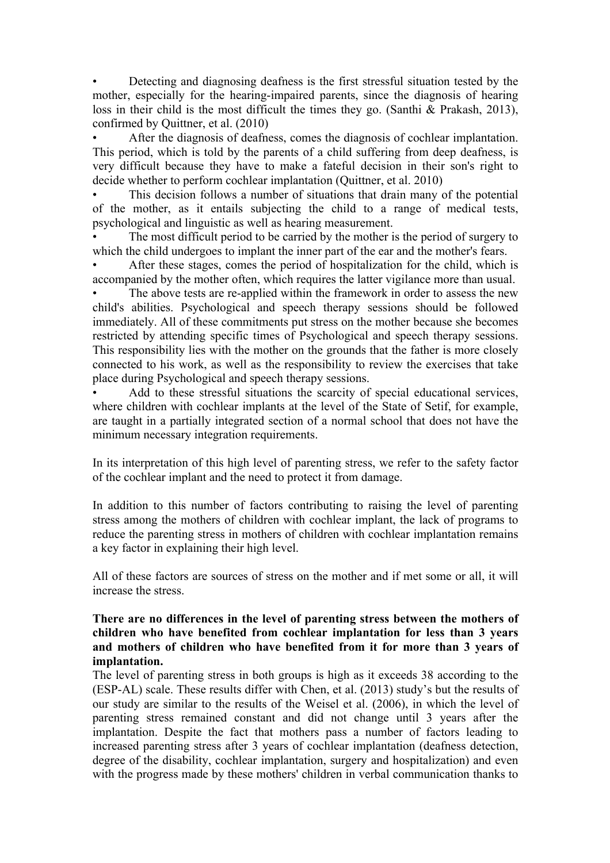• Detecting and diagnosing deafness is the first stressful situation tested by the mother, especially for the hearing-impaired parents, since the diagnosis of hearing loss in their child is the most difficult the times they go. (Santhi & Prakash, 2013), confirmed by Quittner, et al. (2010)

After the diagnosis of deafness, comes the diagnosis of cochlear implantation. This period, which is told by the parents of a child suffering from deep deafness, is very difficult because they have to make a fateful decision in their son's right to decide whether to perform cochlear implantation (Quittner, et al. 2010)

This decision follows a number of situations that drain many of the potential of the mother, as it entails subjecting the child to a range of medical tests, psychological and linguistic as well as hearing measurement.

The most difficult period to be carried by the mother is the period of surgery to which the child undergoes to implant the inner part of the ear and the mother's fears.

• After these stages, comes the period of hospitalization for the child, which is accompanied by the mother often, which requires the latter vigilance more than usual.

The above tests are re-applied within the framework in order to assess the new child's abilities. Psychological and speech therapy sessions should be followed immediately. All of these commitments put stress on the mother because she becomes restricted by attending specific times of Psychological and speech therapy sessions. This responsibility lies with the mother on the grounds that the father is more closely connected to his work, as well as the responsibility to review the exercises that take place during Psychological and speech therapy sessions.

Add to these stressful situations the scarcity of special educational services, where children with cochlear implants at the level of the State of Setif, for example, are taught in a partially integrated section of a normal school that does not have the minimum necessary integration requirements.

In its interpretation of this high level of parenting stress, we refer to the safety factor of the cochlear implant and the need to protect it from damage.

In addition to this number of factors contributing to raising the level of parenting stress among the mothers of children with cochlear implant, the lack of programs to reduce the parenting stress in mothers of children with cochlear implantation remains a key factor in explaining their high level.

All of these factors are sources of stress on the mother and if met some or all, it will increase the stress.

#### **There are no differences in the level of parenting stress between the mothers of children who have benefited from cochlear implantation for less than 3 years and mothers of children who have benefited from it for more than 3 years of implantation.**

The level of parenting stress in both groups is high as it exceeds 38 according to the (ESP-AL) scale. These results differ with Chen, et al. (2013) study's but the results of our study are similar to the results of the Weisel et al. (2006), in which the level of parenting stress remained constant and did not change until 3 years after the implantation. Despite the fact that mothers pass a number of factors leading to increased parenting stress after 3 years of cochlear implantation (deafness detection, degree of the disability, cochlear implantation, surgery and hospitalization) and even with the progress made by these mothers' children in verbal communication thanks to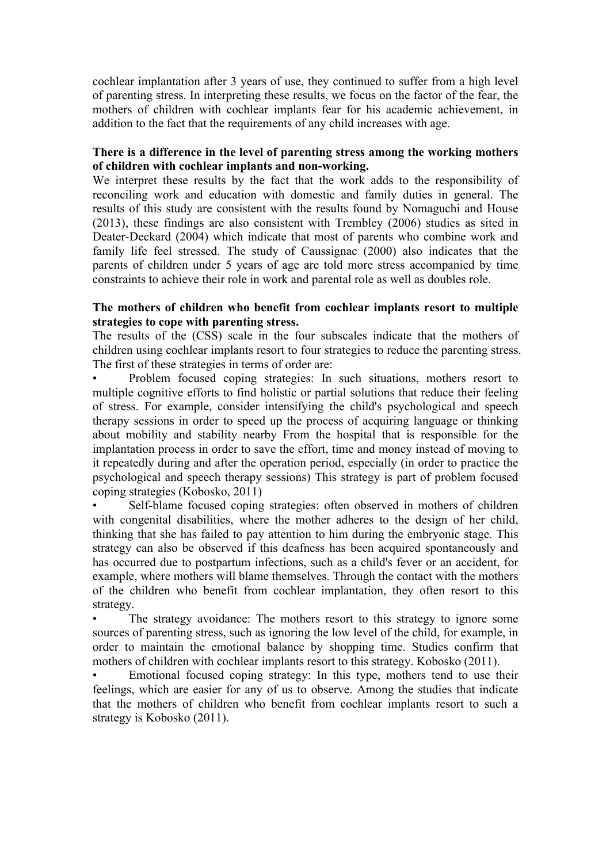cochlear implantation after 3 years of use, they continued to suffer from a high level of parenting stress. In interpreting these results, we focus on the factor of the fear, the mothers of children with cochlear implants fear for his academic achievement, in addition to the fact that the requirements of any child increases with age.

# **There is a difference in the level of parenting stress among the working mothers of children with cochlear implants and non-working.**

We interpret these results by the fact that the work adds to the responsibility of reconciling work and education with domestic and family duties in general. The results of this study are consistent with the results found by Nomaguchi and House (2013), these findings are also consistent with Trembley (2006) studies as sited in Deater-Deckard (2004) which indicate that most of parents who combine work and family life feel stressed. The study of Caussignac (2000) also indicates that the parents of children under 5 years of age are told more stress accompanied by time constraints to achieve their role in work and parental role as well as doubles role.

#### **The mothers of children who benefit from cochlear implants resort to multiple strategies to cope with parenting stress.**

The results of the (CSS) scale in the four subscales indicate that the mothers of children using cochlear implants resort to four strategies to reduce the parenting stress. The first of these strategies in terms of order are:

• Problem focused coping strategies: In such situations, mothers resort to multiple cognitive efforts to find holistic or partial solutions that reduce their feeling of stress. For example, consider intensifying the child's psychological and speech therapy sessions in order to speed up the process of acquiring language or thinking about mobility and stability nearby From the hospital that is responsible for the implantation process in order to save the effort, time and money instead of moving to it repeatedly during and after the operation period, especially (in order to practice the psychological and speech therapy sessions) This strategy is part of problem focused coping strategies (Kobosko, 2011)

• Self-blame focused coping strategies: often observed in mothers of children with congenital disabilities, where the mother adheres to the design of her child, thinking that she has failed to pay attention to him during the embryonic stage. This strategy can also be observed if this deafness has been acquired spontaneously and has occurred due to postpartum infections, such as a child's fever or an accident, for example, where mothers will blame themselves. Through the contact with the mothers of the children who benefit from cochlear implantation, they often resort to this strategy.

The strategy avoidance: The mothers resort to this strategy to ignore some sources of parenting stress, such as ignoring the low level of the child, for example, in order to maintain the emotional balance by shopping time. Studies confirm that mothers of children with cochlear implants resort to this strategy. Kobosko (2011).

• Emotional focused coping strategy: In this type, mothers tend to use their feelings, which are easier for any of us to observe. Among the studies that indicate that the mothers of children who benefit from cochlear implants resort to such a strategy is Kobosko (2011).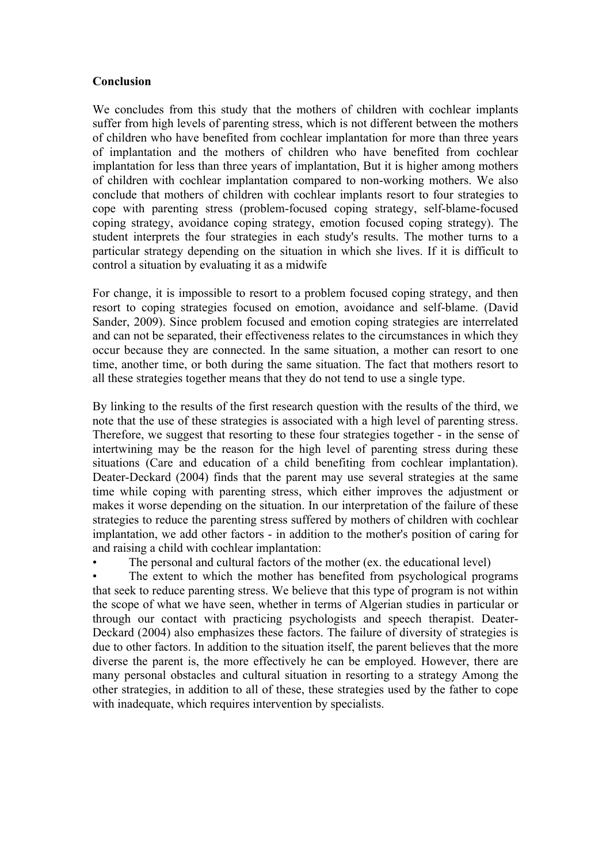#### **Conclusion**

We concludes from this study that the mothers of children with cochlear implants suffer from high levels of parenting stress, which is not different between the mothers of children who have benefited from cochlear implantation for more than three years of implantation and the mothers of children who have benefited from cochlear implantation for less than three years of implantation, But it is higher among mothers of children with cochlear implantation compared to non-working mothers. We also conclude that mothers of children with cochlear implants resort to four strategies to cope with parenting stress (problem-focused coping strategy, self-blame-focused coping strategy, avoidance coping strategy, emotion focused coping strategy). The student interprets the four strategies in each study's results. The mother turns to a particular strategy depending on the situation in which she lives. If it is difficult to control a situation by evaluating it as a midwife

For change, it is impossible to resort to a problem focused coping strategy, and then resort to coping strategies focused on emotion, avoidance and self-blame. (David Sander, 2009). Since problem focused and emotion coping strategies are interrelated and can not be separated, their effectiveness relates to the circumstances in which they occur because they are connected. In the same situation, a mother can resort to one time, another time, or both during the same situation. The fact that mothers resort to all these strategies together means that they do not tend to use a single type.

By linking to the results of the first research question with the results of the third, we note that the use of these strategies is associated with a high level of parenting stress. Therefore, we suggest that resorting to these four strategies together - in the sense of intertwining may be the reason for the high level of parenting stress during these situations (Care and education of a child benefiting from cochlear implantation). Deater-Deckard (2004) finds that the parent may use several strategies at the same time while coping with parenting stress, which either improves the adjustment or makes it worse depending on the situation. In our interpretation of the failure of these strategies to reduce the parenting stress suffered by mothers of children with cochlear implantation, we add other factors - in addition to the mother's position of caring for and raising a child with cochlear implantation:

The personal and cultural factors of the mother (ex. the educational level)

The extent to which the mother has benefited from psychological programs that seek to reduce parenting stress. We believe that this type of program is not within the scope of what we have seen, whether in terms of Algerian studies in particular or through our contact with practicing psychologists and speech therapist. Deater-Deckard (2004) also emphasizes these factors. The failure of diversity of strategies is due to other factors. In addition to the situation itself, the parent believes that the more diverse the parent is, the more effectively he can be employed. However, there are many personal obstacles and cultural situation in resorting to a strategy Among the other strategies, in addition to all of these, these strategies used by the father to cope with inadequate, which requires intervention by specialists.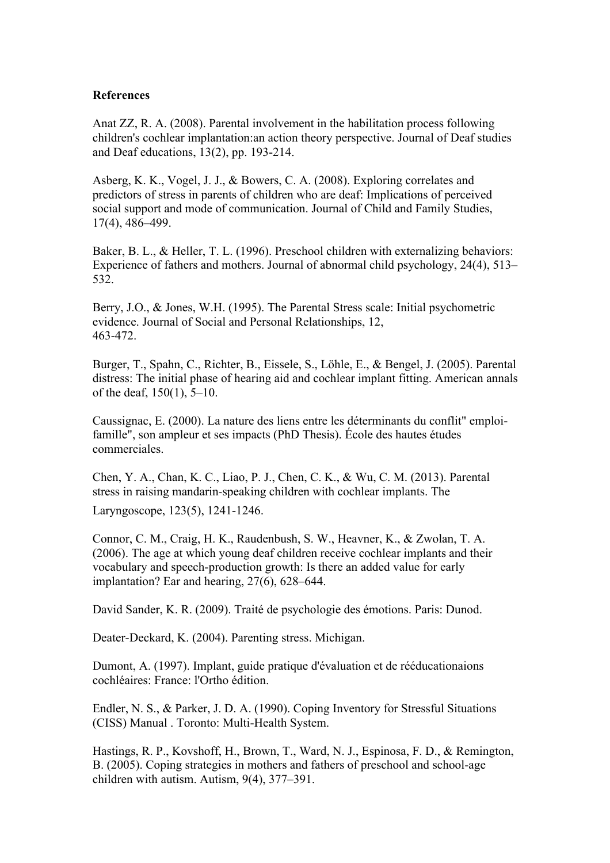#### **References**

Anat ZZ, R. A. (2008). Parental involvement in the habilitation process following children's cochlear implantation:an action theory perspective. Journal of Deaf studies and Deaf educations, 13(2), pp. 193-214.

Asberg, K. K., Vogel, J. J., & Bowers, C. A. (2008). Exploring correlates and predictors of stress in parents of children who are deaf: Implications of perceived social support and mode of communication. Journal of Child and Family Studies, 17(4), 486–499.

Baker, B. L., & Heller, T. L. (1996). Preschool children with externalizing behaviors: Experience of fathers and mothers. Journal of abnormal child psychology, 24(4), 513– 532.

Berry, J.O., & Jones, W.H. (1995). The Parental Stress scale: Initial psychometric evidence. Journal of Social and Personal Relationships, 12, 463-472.

Burger, T., Spahn, C., Richter, B., Eissele, S., Löhle, E., & Bengel, J. (2005). Parental distress: The initial phase of hearing aid and cochlear implant fitting. American annals of the deaf, 150(1), 5–10.

Caussignac, E. (2000). La nature des liens entre les déterminants du conflit" emploifamille", son ampleur et ses impacts (PhD Thesis). École des hautes études commerciales.

Chen, Y. A., Chan, K. C., Liao, P. J., Chen, C. K., & Wu, C. M. (2013). Parental stress in raising mandarin‐speaking children with cochlear implants. The

Laryngoscope, 123(5), 1241-1246.

Connor, C. M., Craig, H. K., Raudenbush, S. W., Heavner, K., & Zwolan, T. A. (2006). The age at which young deaf children receive cochlear implants and their vocabulary and speech-production growth: Is there an added value for early implantation? Ear and hearing, 27(6), 628–644.

David Sander, K. R. (2009). Traité de psychologie des émotions. Paris: Dunod.

Deater-Deckard, K. (2004). Parenting stress. Michigan.

Dumont, A. (1997). Implant, guide pratique d'évaluation et de rééducationaions cochléaires: France: l'Ortho édition.

Endler, N. S., & Parker, J. D. A. (1990). Coping Inventory for Stressful Situations (CISS) Manual . Toronto: Multi-Health System.

Hastings, R. P., Kovshoff, H., Brown, T., Ward, N. J., Espinosa, F. D., & Remington, B. (2005). Coping strategies in mothers and fathers of preschool and school-age children with autism. Autism, 9(4), 377–391.